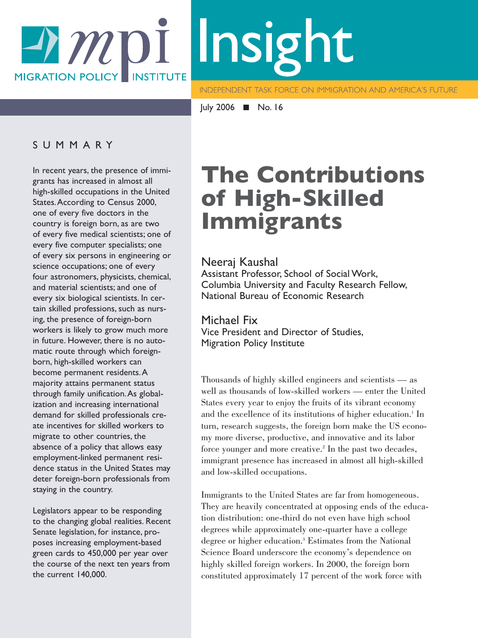# Insight A MDI **MIGRATION POLICY INSTITUTE**

**INDEPENDENT TASK FORCE ON IMMIGRATION AND AMERICA'S FUTURE** 

July 2006 ■ No. 16

#### SUMMARY

In recent years, the presence of immigrants has increased in almost all high-skilled occupations in the United States.According to Census 2000, one of every five doctors in the country is foreign born, as are two of every five medical scientists; one of every five computer specialists; one of every six persons in engineering or science occupations; one of every four astronomers, physicists, chemical, and material scientists; and one of every six biological scientists. In certain skilled professions, such as nursing, the presence of foreign-born workers is likely to grow much more in future. However, there is no automatic route through which foreignborn, high-skilled workers can become permanent residents.A majority attains permanent status through family unification.As globalization and increasing international demand for skilled professionals create incentives for skilled workers to migrate to other countries, the absence of a policy that allows easy employment-linked permanent residence status in the United States may deter foreign-born professionals from staying in the country.

Legislators appear to be responding to the changing global realities. Recent Senate legislation, for instance, proposes increasing employment-based green cards to 450,000 per year over the course of the next ten years from the current 140,000.

# **The Contributions of High-Skilled Immigrants**

#### Neeraj Kaushal

Assistant Professor, School of Social Work, Columbia University and Faculty Research Fellow, National Bureau of Economic Research

#### Michael Fix

Vice President and Director of Studies, Migration Policy Institute

Thousands of highly skilled engineers and scientists — as well as thousands of low-skilled workers — enter the United States every year to enjoy the fruits of its vibrant economy and the excellence of its institutions of higher education.<sup>1</sup> In turn, research suggests, the foreign born make the US economy more diverse, productive, and innovative and its labor force younger and more creative.<sup>2</sup> In the past two decades, immigrant presence has increased in almost all high-skilled and low-skilled occupations.

Immigrants to the United States are far from homogeneous. They are heavily concentrated at opposing ends of the education distribution: one-third do not even have high school degrees while approximately one-quarter have a college degree or higher education.3 Estimates from the National Science Board underscore the economy's dependence on highly skilled foreign workers. In 2000, the foreign born constituted approximately 17 percent of the work force with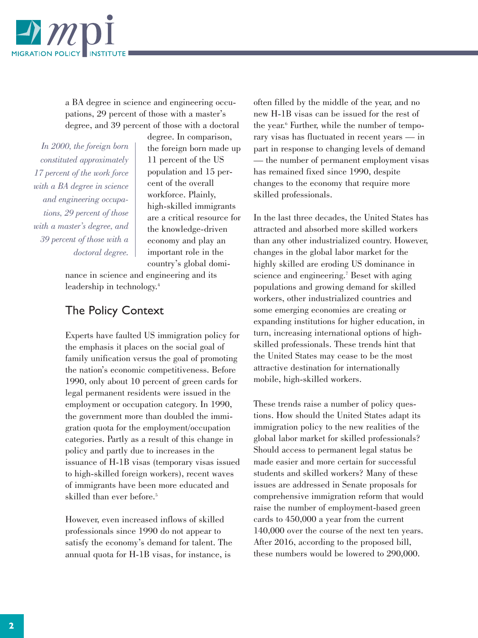

a BA degree in science and engineering occupations, 29 percent of those with a master's degree, and 39 percent of those with a doctoral

*In 2000, the foreign born constituted approximately 17 percent of the work force with a BA degree in science and engineering occupations, 29 percent of those with a master's degree, and 39 percent of those with a doctoral degree.* degree. In comparison, the foreign born made up 11 percent of the US population and 15 percent of the overall workforce. Plainly, high-skilled immigrants are a critical resource for the knowledge-driven economy and play an important role in the country's global domi-

nance in science and engineering and its leadership in technology.4

#### The Policy Context

Experts have faulted US immigration policy for the emphasis it places on the social goal of family unification versus the goal of promoting the nation's economic competitiveness. Before 1990, only about 10 percent of green cards for legal permanent residents were issued in the employment or occupation category. In 1990, the government more than doubled the immigration quota for the employment/occupation categories. Partly as a result of this change in policy and partly due to increases in the issuance of H-1B visas (temporary visas issued to high-skilled foreign workers), recent waves of immigrants have been more educated and skilled than ever before.<sup>5</sup>

However, even increased inflows of skilled professionals since 1990 do not appear to satisfy the economy's demand for talent. The annual quota for H-1B visas, for instance, is

often filled by the middle of the year, and no new H-1B visas can be issued for the rest of the year.6 Further, while the number of temporary visas has fluctuated in recent years — in part in response to changing levels of demand — the number of permanent employment visas has remained fixed since 1990, despite changes to the economy that require more skilled professionals.

In the last three decades, the United States has attracted and absorbed more skilled workers than any other industrialized country. However, changes in the global labor market for the highly skilled are eroding US dominance in science and engineering.<sup>7</sup> Beset with aging populations and growing demand for skilled workers, other industrialized countries and some emerging economies are creating or expanding institutions for higher education, in turn, increasing international options of highskilled professionals. These trends hint that the United States may cease to be the most attractive destination for internationally mobile, high-skilled workers.

These trends raise a number of policy questions. How should the United States adapt its immigration policy to the new realities of the global labor market for skilled professionals? Should access to permanent legal status be made easier and more certain for successful students and skilled workers? Many of these issues are addressed in Senate proposals for comprehensive immigration reform that would raise the number of employment-based green cards to 450,000 a year from the current 140,000 over the course of the next ten years. After 2016, according to the proposed bill, these numbers would be lowered to 290,000.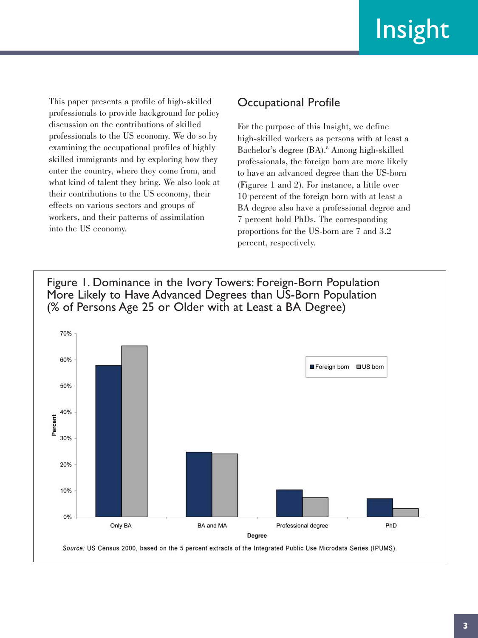This paper presents a profile of high-skilled professionals to provide background for policy discussion on the contributions of skilled professionals to the US economy. We do so by examining the occupational profiles of highly skilled immigrants and by exploring how they enter the country, where they come from, and what kind of talent they bring. We also look at their contributions to the US economy, their effects on various sectors and groups of workers, and their patterns of assimilation into the US economy.

## Occupational Profile

For the purpose of this Insight, we define high-skilled workers as persons with at least a Bachelor's degree (BA).<sup>8</sup> Among high-skilled professionals, the foreign born are more likely to have an advanced degree than the US-born (Figures 1 and 2). For instance, a little over 10 percent of the foreign born with at least a BA degree also have a professional degree and 7 percent hold PhDs. The corresponding proportions for the US-born are 7 and 3.2 percent, respectively.

Figure 1. Dominance in the Ivory Towers: Foreign-Born Population More Likely to Have Advanced Degrees than US-Born Population (% of Persons Age 25 or Older with at Least a BA Degree)

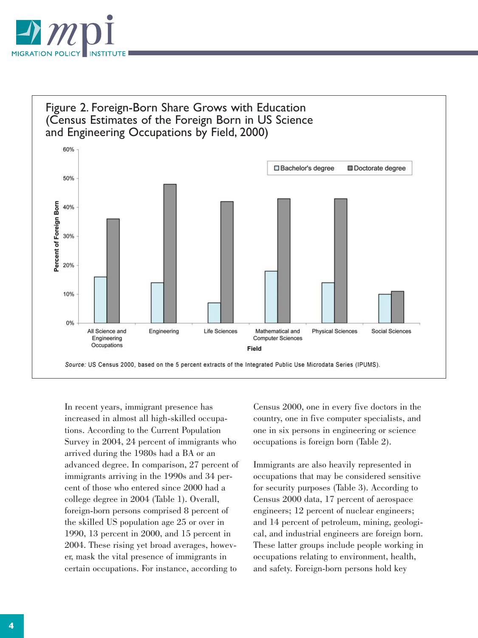

## Figure 2. Foreign-Born Share Grows with Education (Census Estimates of the Foreign Born in US Science and Engineering Occupations by Field, 2000)



In recent years, immigrant presence has increased in almost all high-skilled occupations. According to the Current Population Survey in 2004, 24 percent of immigrants who arrived during the 1980s had a BA or an advanced degree. In comparison, 27 percent of immigrants arriving in the 1990s and 34 percent of those who entered since 2000 had a college degree in 2004 (Table 1). Overall, foreign-born persons comprised 8 percent of the skilled US population age 25 or over in 1990, 13 percent in 2000, and 15 percent in 2004. These rising yet broad averages, however, mask the vital presence of immigrants in certain occupations. For instance, according to

Census 2000, one in every five doctors in the country, one in five computer specialists, and one in six persons in engineering or science occupations is foreign born (Table 2).

Immigrants are also heavily represented in occupations that may be considered sensitive for security purposes (Table 3). According to Census 2000 data, 17 percent of aerospace engineers; 12 percent of nuclear engineers; and 14 percent of petroleum, mining, geological, and industrial engineers are foreign born. These latter groups include people working in occupations relating to environment, health, and safety. Foreign-born persons hold key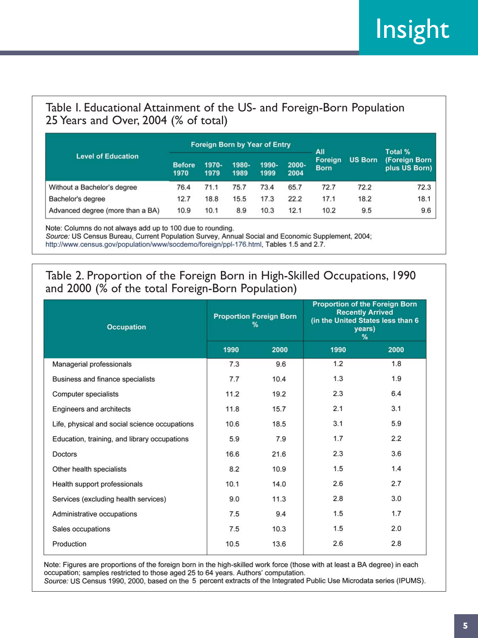# Table I. Educational Attainment of the US- and Foreign-Born Population 25 Years and Over, 2004 (% of total)

| <b>Level of Education</b>        |                       | <b>Foreign Born by Year of Entry</b><br>All |               |               |               |                               |                | Total %                        |  |
|----------------------------------|-----------------------|---------------------------------------------|---------------|---------------|---------------|-------------------------------|----------------|--------------------------------|--|
|                                  | <b>Before</b><br>1970 | 1970-<br>1979                               | 1980-<br>1989 | 1990-<br>1999 | 2000-<br>2004 | <b>Foreign</b><br><b>Born</b> | <b>US Born</b> | (Foreign Born<br>plus US Born) |  |
| Without a Bachelor's degree      | 76.4                  | 71.1                                        | 75.7          | 73.4          | 65.7          | 72.7                          | 72.2           | 72.3                           |  |
| Bachelor's degree                | 12.7                  | 18.8                                        | 15.5          | 17.3          | 22.2          | 17.1                          | 18.2           | 18.1                           |  |
| Advanced degree (more than a BA) | 10.9                  | 10.1                                        | 8.9           | 10.3          | 12.1          | 10.2                          | 9.5            | 9.6                            |  |

Note: Columns do not always add up to 100 due to rounding. Source: US Census Bureau, Current Population Survey, Annual Social and Economic Supplement, 2004; http://www.census.gov/population/www/socdemo/foreign/ppl-176.html, Tables 1.5 and 2.7.

# Table 2. Proportion of the Foreign Born in High-Skilled Occupations, 1990 and 2000 (% of the total Foreign-Born Population)

| <b>Occupation</b>                             |              | <b>Proportion Foreign Born</b><br>℅ | <b>Proportion of the Foreign Born</b><br><b>Recently Arrived</b><br>(in the United States less than 6<br>years)<br>% |      |  |
|-----------------------------------------------|--------------|-------------------------------------|----------------------------------------------------------------------------------------------------------------------|------|--|
|                                               | 1990<br>2000 |                                     | 1990                                                                                                                 | 2000 |  |
| Managerial professionals                      | 7.3          | 9.6                                 | 1.2                                                                                                                  | 1.8  |  |
| Business and finance specialists              | 7.7          | 10.4                                | 1.3                                                                                                                  | 1.9  |  |
| Computer specialists                          | 11.2         | 19.2                                | 2.3                                                                                                                  | 6.4  |  |
| Engineers and architects                      | 11.8         | 15.7                                | 2.1                                                                                                                  | 3.1  |  |
| Life, physical and social science occupations | 10.6         | 18.5                                | 3.1                                                                                                                  | 5.9  |  |
| Education, training, and library occupations  | 5.9          | 7.9                                 | 1.7                                                                                                                  | 2.2  |  |
| <b>Doctors</b>                                | 16.6         | 21.6                                | 2.3                                                                                                                  | 3.6  |  |
| Other health specialists                      | 8.2          | 10.9                                | 1.5                                                                                                                  | 1.4  |  |
| Health support professionals                  | 10.1         | 14.0                                | 2.6                                                                                                                  | 2.7  |  |
| Services (excluding health services)          | 9.0          | 11.3                                | 2.8                                                                                                                  | 3.0  |  |
| Administrative occupations                    | 7.5          | 9.4                                 | 1.5                                                                                                                  | 1.7  |  |
| Sales occupations                             | 7.5          | 10.3                                | 1.5                                                                                                                  | 2.0  |  |
| Production                                    | 10.5         | 13.6                                | 2.6                                                                                                                  | 2.8  |  |

Note: Figures are proportions of the foreign born in the high-skilled work force (those with at least a BA degree) in each occupation; samples restricted to those aged 25 to 64 years. Authors' computation. Source: US Census 1990, 2000, based on the 5 percent extracts of the Integrated Public Use Microdata series (IPUMS).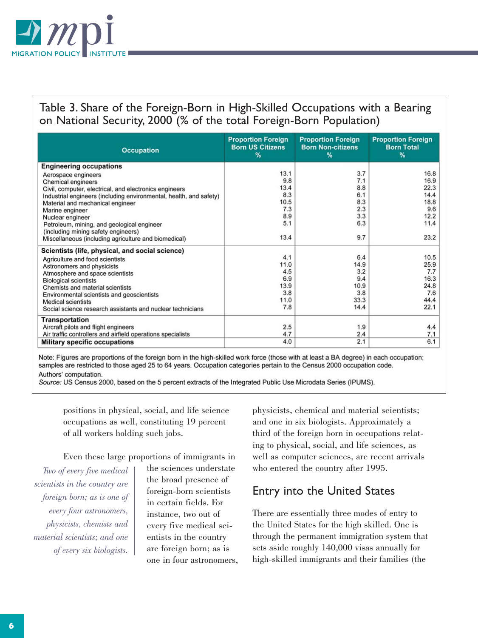

Table 3. Share of the Foreign-Born in High-Skilled Occupations with a Bearing on National Security, 2000 (% of the total Foreign-Born Population)

| <b>Occupation</b>                                                  | <b>Proportion Foreign</b><br><b>Born US Citizens</b><br>% | <b>Proportion Foreign</b><br><b>Born Non-citizens</b><br>% | <b>Proportion Foreign</b><br><b>Born Total</b><br>$\%$ |
|--------------------------------------------------------------------|-----------------------------------------------------------|------------------------------------------------------------|--------------------------------------------------------|
| <b>Engineering occupations</b>                                     |                                                           |                                                            |                                                        |
| Aerospace engineers                                                | 13.1                                                      | 3.7                                                        | 16.8                                                   |
| <b>Chemical engineers</b>                                          | 9.8                                                       | 7.1                                                        | 16.9                                                   |
| Civil, computer, electrical, and electronics engineers             | 13.4<br>8.3                                               | 8.8<br>6.1                                                 | 22.3<br>14.4                                           |
| Industrial engineers (including environmental, health, and safety) | 10.5                                                      | 8.3                                                        | 18.8                                                   |
| Material and mechanical engineer                                   | 7.3                                                       | 2.3                                                        | 9.6                                                    |
| Marine engineer<br>Nuclear engineer                                | 8.9                                                       | 3.3                                                        | 12.2                                                   |
| Petroleum, mining, and geological engineer                         | 5.1                                                       | 6.3                                                        | 11.4                                                   |
| (including mining safety engineers)                                |                                                           |                                                            |                                                        |
| Miscellaneous (including agriculture and biomedical)               | 13.4                                                      | 9.7                                                        | 23.2                                                   |
| Scientists (life, physical, and social science)                    |                                                           |                                                            |                                                        |
| Agriculture and food scientists                                    | 4.1                                                       | 6.4                                                        | 10.5                                                   |
| Astronomers and physicists                                         | 11.0                                                      | 14.9                                                       | 25.9                                                   |
| Atmosphere and space scientists                                    | 4.5                                                       | 3.2                                                        | 7.7                                                    |
| <b>Biological scientists</b>                                       | 6.9                                                       | 9.4                                                        | 16.3                                                   |
| Chemists and material scientists                                   | 13.9                                                      | 10.9                                                       | 24.8                                                   |
| Environmental scientists and geoscientists                         | 3.8                                                       | 3.8                                                        | 7.6                                                    |
| <b>Medical scientists</b>                                          | 11.0<br>7.8                                               | 33.3<br>14.4                                               | 44.4<br>22.1                                           |
| Social science research assistants and nuclear technicians         |                                                           |                                                            |                                                        |
| <b>Transportation</b>                                              |                                                           |                                                            |                                                        |
| Aircraft pilots and flight engineers                               | 2.5                                                       | 1.9                                                        | 4.4                                                    |
| Air traffic controllers and airfield operations specialists        | 4.7                                                       | 2.4                                                        | 7.1                                                    |
| <b>Military specific occupations</b>                               | 4.0                                                       | 2.1                                                        | 6.1                                                    |

Note: Figures are proportions of the foreign born in the high-skilled work force (those with at least a BA degree) in each occupation; samples are restricted to those aged 25 to 64 years. Occupation categories pertain to the Census 2000 occupation code. Authors' computation.

Source: US Census 2000, based on the 5 percent extracts of the Integrated Public Use Microdata Series (IPUMS).

positions in physical, social, and life science occupations as well, constituting 19 percent of all workers holding such jobs.

Even these large proportions of immigrants in

*Two of every five medical scientists in the country are foreign born; as is one of every four astronomers, physicists, chemists and material scientists; and one of every six biologists.* 

the sciences understate the broad presence of foreign-born scientists in certain fields. For instance, two out of every five medical scientists in the country are foreign born; as is one in four astronomers, physicists, chemical and material scientists; and one in six biologists. Approximately a third of the foreign born in occupations relating to physical, social, and life sciences, as well as computer sciences, are recent arrivals who entered the country after 1995.

## Entry into the United States

There are essentially three modes of entry to the United States for the high skilled. One is through the permanent immigration system that sets aside roughly 140,000 visas annually for high-skilled immigrants and their families (the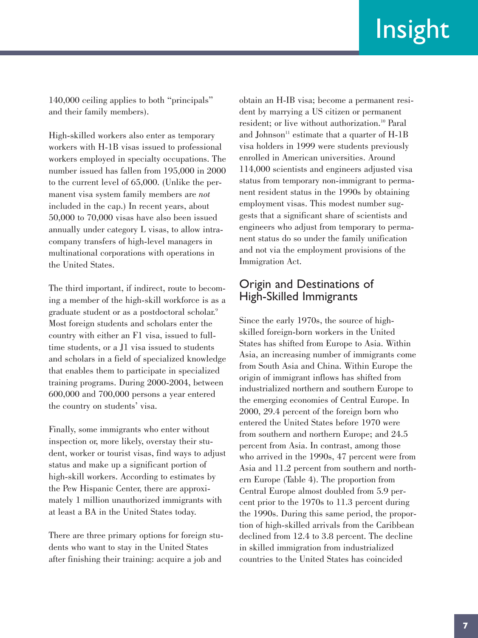140,000 ceiling applies to both "principals" and their family members).

High-skilled workers also enter as temporary workers with H-1B visas issued to professional workers employed in specialty occupations. The number issued has fallen from 195,000 in 2000 to the current level of 65,000. (Unlike the permanent visa system family members are *not* included in the cap.) In recent years, about 50,000 to 70,000 visas have also been issued annually under category L visas, to allow intracompany transfers of high-level managers in multinational corporations with operations in the United States.

The third important, if indirect, route to becoming a member of the high-skill workforce is as a graduate student or as a postdoctoral scholar.9 Most foreign students and scholars enter the country with either an F1 visa, issued to fulltime students, or a J1 visa issued to students and scholars in a field of specialized knowledge that enables them to participate in specialized training programs. During 2000-2004, between 600,000 and 700,000 persons a year entered the country on students' visa.

Finally, some immigrants who enter without inspection or, more likely, overstay their student, worker or tourist visas, find ways to adjust status and make up a significant portion of high-skill workers. According to estimates by the Pew Hispanic Center, there are approximately 1 million unauthorized immigrants with at least a BA in the United States today.

There are three primary options for foreign students who want to stay in the United States after finishing their training: acquire a job and

obtain an H-IB visa; become a permanent resident by marrying a US citizen or permanent resident; or live without authorization.<sup>10</sup> Paral and Johnson<sup>11</sup> estimate that a quarter of  $H-1B$ visa holders in 1999 were students previously enrolled in American universities. Around 114,000 scientists and engineers adjusted visa status from temporary non-immigrant to permanent resident status in the 1990s by obtaining employment visas. This modest number suggests that a significant share of scientists and engineers who adjust from temporary to permanent status do so under the family unification and not via the employment provisions of the Immigration Act.

#### Origin and Destinations of High-Skilled Immigrants

Since the early 1970s, the source of highskilled foreign-born workers in the United States has shifted from Europe to Asia. Within Asia, an increasing number of immigrants come from South Asia and China. Within Europe the origin of immigrant inflows has shifted from industrialized northern and southern Europe to the emerging economies of Central Europe. In 2000, 29.4 percent of the foreign born who entered the United States before 1970 were from southern and northern Europe; and 24.5 percent from Asia. In contrast, among those who arrived in the 1990s, 47 percent were from Asia and 11.2 percent from southern and northern Europe (Table 4). The proportion from Central Europe almost doubled from 5.9 percent prior to the 1970s to 11.3 percent during the 1990s. During this same period, the proportion of high-skilled arrivals from the Caribbean declined from 12.4 to 3.8 percent. The decline in skilled immigration from industrialized countries to the United States has coincided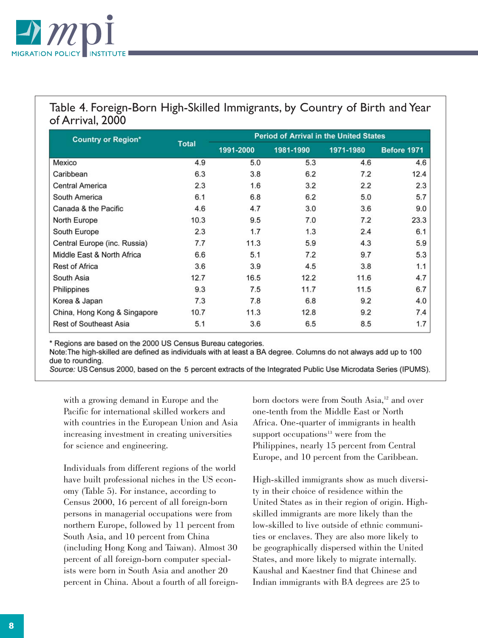

# Table 4. Foreign-Born High-Skilled Immigrants, by Country of Birth and Year of Arrival, 2000

| <b>Country or Region*</b>     |              | <b>Period of Arrival in the United States</b> |           |           |             |  |  |  |
|-------------------------------|--------------|-----------------------------------------------|-----------|-----------|-------------|--|--|--|
|                               | <b>Total</b> | 1991-2000                                     | 1981-1990 | 1971-1980 | Before 1971 |  |  |  |
| Mexico                        | 4.9          | 5.0                                           | 5.3       | 4.6       | 4.6         |  |  |  |
| Caribbean                     | 6.3          | 3.8                                           | 6.2       | 7.2       | 12.4        |  |  |  |
| <b>Central America</b>        | 2.3          | 1.6                                           | 3.2       | 2.2       | 2.3         |  |  |  |
| South America                 | 6.1          | 6.8                                           | 6.2       | 5.0       | 5.7         |  |  |  |
| Canada & the Pacific          | 4.6          | 4.7                                           | 3.0       | 3.6       | 9.0         |  |  |  |
| North Europe                  | 10.3         | 9.5                                           | 7.0       | 7.2       | 23.3        |  |  |  |
| South Europe                  | 2.3          | 1.7                                           | 1.3       | 2.4       | 6.1         |  |  |  |
| Central Europe (inc. Russia)  | 7.7          | 11.3                                          | 5.9       | 4.3       | 5.9         |  |  |  |
| Middle East & North Africa    | 6.6          | 5.1                                           | 7.2       | 9.7       | 5.3         |  |  |  |
| <b>Rest of Africa</b>         | 3.6          | 3.9                                           | 4.5       | 3.8       | 1.1         |  |  |  |
| South Asia                    | 12.7         | 16.5                                          | 12.2      | 11.6      | 4.7         |  |  |  |
| Philippines                   | 9.3          | 7.5                                           | 11.7      | 11.5      | 6.7         |  |  |  |
| Korea & Japan                 | 7.3          | 7.8                                           | 6.8       | 9.2       | 4.0         |  |  |  |
| China, Hong Kong & Singapore  | 10.7         | 11.3                                          | 12.8      | 9.2       | 7.4         |  |  |  |
| <b>Rest of Southeast Asia</b> | 5.1          | 3.6                                           | 6.5       | 8.5       | 1.7         |  |  |  |

\* Regions are based on the 2000 US Census Bureau categories.

Note: The high-skilled are defined as individuals with at least a BA degree. Columns do not always add up to 100 due to rounding.

Source: US Census 2000, based on the 5 percent extracts of the Integrated Public Use Microdata Series (IPUMS).

with a growing demand in Europe and the Pacific for international skilled workers and with countries in the European Union and Asia increasing investment in creating universities for science and engineering.

Individuals from different regions of the world have built professional niches in the US economy (Table 5). For instance, according to Census 2000, 16 percent of all foreign-born persons in managerial occupations were from northern Europe, followed by 11 percent from South Asia, and 10 percent from China (including Hong Kong and Taiwan). Almost 30 percent of all foreign-born computer specialists were born in South Asia and another 20 percent in China. About a fourth of all foreignborn doctors were from South Asia,<sup>12</sup> and over one-tenth from the Middle East or North Africa. One-quarter of immigrants in health support occupations $13$  were from the Philippines, nearly 15 percent from Central Europe, and 10 percent from the Caribbean.

High-skilled immigrants show as much diversity in their choice of residence within the United States as in their region of origin. Highskilled immigrants are more likely than the low-skilled to live outside of ethnic communities or enclaves. They are also more likely to be geographically dispersed within the United States, and more likely to migrate internally. Kaushal and Kaestner find that Chinese and Indian immigrants with BA degrees are 25 to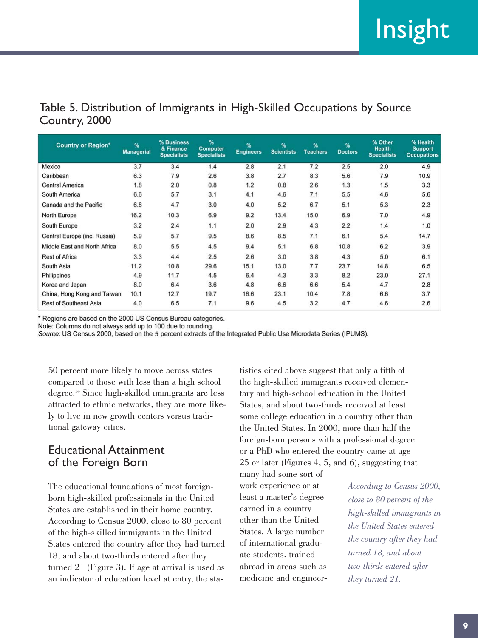# Table 5. Distribution of Immigrants in High-Skilled Occupations by Source Country, 2000

| <b>Country or Region*</b>     | %<br><b>Managerial</b> | % Business<br>& Finance<br><b>Specialists</b> | %<br><b>Computer</b><br><b>Specialists</b> | $\frac{9}{4}$<br><b>Engineers</b> | $\frac{9}{6}$<br><b>Scientists</b> | %<br><b>Teachers</b> | %<br><b>Doctors</b> | % Other<br><b>Health</b><br><b>Specialists</b> | % Health<br><b>Support</b><br><b>Occupations</b> |
|-------------------------------|------------------------|-----------------------------------------------|--------------------------------------------|-----------------------------------|------------------------------------|----------------------|---------------------|------------------------------------------------|--------------------------------------------------|
| Mexico                        | 3.7                    | 3.4                                           | 1.4                                        | 2.8                               | 2.1                                | 7.2                  | 2.5                 | 2.0                                            | 4.9                                              |
| Caribbean                     | 6.3                    | 7.9                                           | 2.6                                        | 3.8                               | 2.7                                | 8.3                  | 5.6                 | 7.9                                            | 10.9                                             |
| <b>Central America</b>        | 1.8                    | 2.0                                           | 0.8                                        | 1.2                               | 0.8                                | 2.6                  | 1.3                 | 1.5                                            | 3.3                                              |
| South America                 | 6.6                    | 5.7                                           | 3.1                                        | 4.1                               | 4.6                                | 7.1                  | 5.5                 | 4.6                                            | 5.6                                              |
| Canada and the Pacific        | 6.8                    | 4.7                                           | 3.0                                        | 4.0                               | 5.2                                | 6.7                  | 5.1                 | 5.3                                            | 2.3                                              |
| North Europe                  | 16.2                   | 10.3                                          | 6.9                                        | 9.2                               | 13.4                               | 15.0                 | 6.9                 | 7.0                                            | 4.9                                              |
| South Europe                  | 3.2                    | 2.4                                           | 1.1                                        | 2.0                               | 2.9                                | 4.3                  | 2.2                 | 1.4                                            | 1.0                                              |
| Central Europe (inc. Russia)  | 5.9                    | 5.7                                           | 9.5                                        | 8.6                               | 8.5                                | 7.1                  | 6.1                 | 5.4                                            | 14.7                                             |
| Middle East and North Africa  | 8.0                    | 5.5                                           | 4.5                                        | 9.4                               | 5.1                                | 6.8                  | 10.8                | 6.2                                            | 3.9                                              |
| <b>Rest of Africa</b>         | 3.3                    | 4.4                                           | 2.5                                        | 2.6                               | 3.0                                | 3.8                  | 4.3                 | 5.0                                            | 6.1                                              |
| South Asia                    | 11.2                   | 10.8                                          | 29.6                                       | 15.1                              | 13.0                               | 7.7                  | 23.7                | 14.8                                           | 6.5                                              |
| Philippines                   | 4.9                    | 11.7                                          | 4.5                                        | 6.4                               | 4.3                                | 3.3                  | 8.2                 | 23.0                                           | 27.1                                             |
| Korea and Japan               | 8.0                    | 6.4                                           | 3.6                                        | 4.8                               | 6.6                                | 6.6                  | 5.4                 | 4.7                                            | 2.8                                              |
| China, Hong Kong and Taiwan   | 10.1                   | 12.7                                          | 19.7                                       | 16.6                              | 23.1                               | 10.4                 | 7.8                 | 6.6                                            | 3.7                                              |
| <b>Rest of Southeast Asia</b> | 4.0                    | 6.5                                           | 7.1                                        | 9.6                               | 4.5                                | 3.2                  | 4.7                 | 4.6                                            | 2.6                                              |

\* Regions are based on the 2000 US Census Bureau categories.

Note: Columns do not always add up to 100 due to rounding.

Source: US Census 2000, based on the 5 percent extracts of the Integrated Public Use Microdata Series (IPUMS).

50 percent more likely to move across states compared to those with less than a high school degree.14 Since high-skilled immigrants are less attracted to ethnic networks, they are more likely to live in new growth centers versus traditional gateway cities.

### Educational Attainment of the Foreign Born

The educational foundations of most foreignborn high-skilled professionals in the United States are established in their home country. According to Census 2000, close to 80 percent of the high-skilled immigrants in the United States entered the country after they had turned 18, and about two-thirds entered after they turned 21 (Figure 3). If age at arrival is used as an indicator of education level at entry, the statistics cited above suggest that only a fifth of the high-skilled immigrants received elementary and high-school education in the United States, and about two-thirds received at least some college education in a country other than the United States. In 2000, more than half the foreign-born persons with a professional degree or a PhD who entered the country came at age 25 or later (Figures 4, 5, and 6), suggesting that

many had some sort of work experience or at least a master's degree earned in a country other than the United States. A large number of international graduate students, trained abroad in areas such as medicine and engineer-

*According to Census 2000, close to 80 percent of the high-skilled immigrants in the United States entered the country after they had turned 18, and about two-thirds entered after they turned 21.*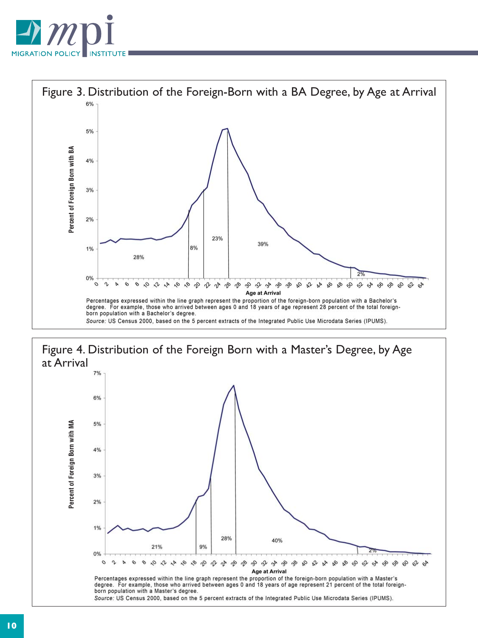



# Figure 4. Distribution of the Foreign Born with a Master's Degree, by Age at Arrival

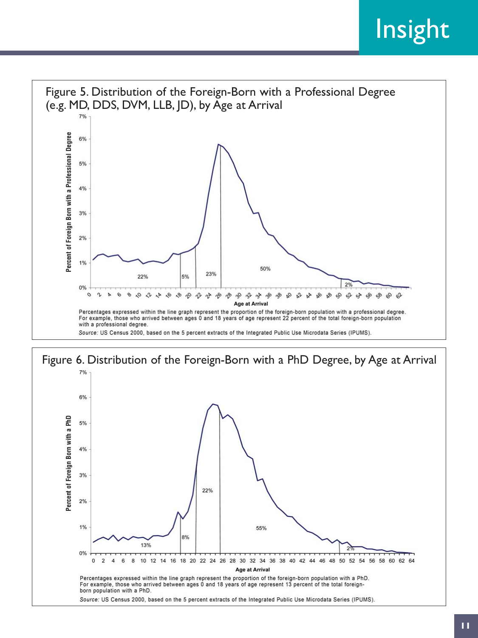

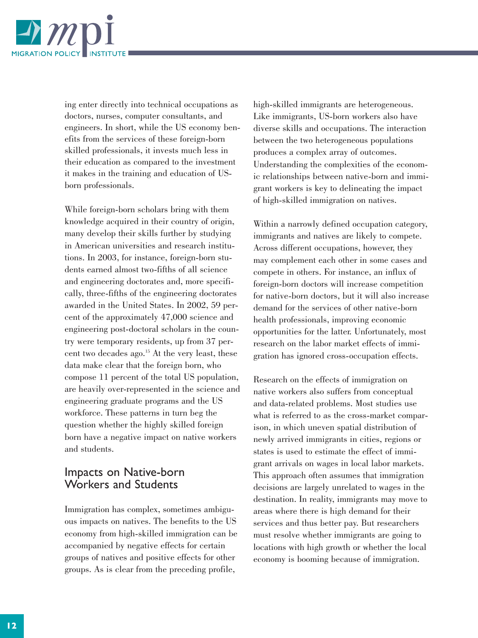

ing enter directly into technical occupations as doctors, nurses, computer consultants, and engineers. In short, while the US economy benefits from the services of these foreign-born skilled professionals, it invests much less in their education as compared to the investment it makes in the training and education of USborn professionals.

While foreign-born scholars bring with them knowledge acquired in their country of origin, many develop their skills further by studying in American universities and research institutions. In 2003, for instance, foreign-born students earned almost two-fifths of all science and engineering doctorates and, more specifically, three-fifths of the engineering doctorates awarded in the United States. In 2002, 59 percent of the approximately 47,000 science and engineering post-doctoral scholars in the country were temporary residents, up from 37 percent two decades ago.15 At the very least, these data make clear that the foreign born, who compose 11 percent of the total US population, are heavily over-represented in the science and engineering graduate programs and the US workforce. These patterns in turn beg the question whether the highly skilled foreign born have a negative impact on native workers and students.

#### Impacts on Native-born Workers and Students

Immigration has complex, sometimes ambiguous impacts on natives. The benefits to the US economy from high-skilled immigration can be accompanied by negative effects for certain groups of natives and positive effects for other groups. As is clear from the preceding profile,

high-skilled immigrants are heterogeneous. Like immigrants, US-born workers also have diverse skills and occupations. The interaction between the two heterogeneous populations produces a complex array of outcomes. Understanding the complexities of the economic relationships between native-born and immigrant workers is key to delineating the impact of high-skilled immigration on natives.

Within a narrowly defined occupation category, immigrants and natives are likely to compete. Across different occupations, however, they may complement each other in some cases and compete in others. For instance, an influx of foreign-born doctors will increase competition for native-born doctors, but it will also increase demand for the services of other native-born health professionals, improving economic opportunities for the latter. Unfortunately, most research on the labor market effects of immigration has ignored cross-occupation effects.

Research on the effects of immigration on native workers also suffers from conceptual and data-related problems. Most studies use what is referred to as the cross-market comparison, in which uneven spatial distribution of newly arrived immigrants in cities, regions or states is used to estimate the effect of immigrant arrivals on wages in local labor markets. This approach often assumes that immigration decisions are largely unrelated to wages in the destination. In reality, immigrants may move to areas where there is high demand for their services and thus better pay. But researchers must resolve whether immigrants are going to locations with high growth or whether the local economy is booming because of immigration.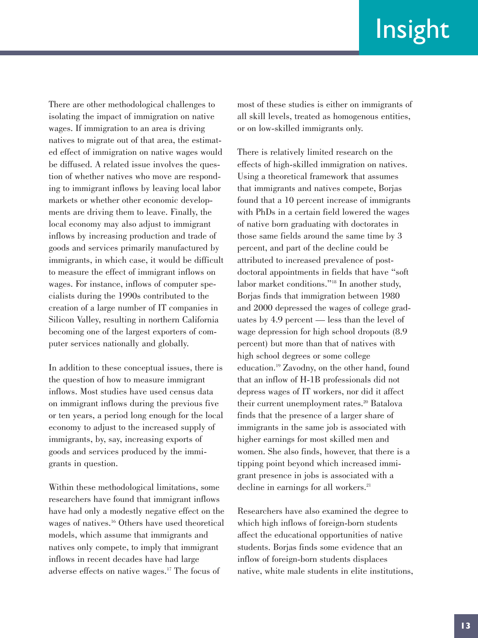There are other methodological challenges to isolating the impact of immigration on native wages. If immigration to an area is driving natives to migrate out of that area, the estimated effect of immigration on native wages would be diffused. A related issue involves the question of whether natives who move are responding to immigrant inflows by leaving local labor markets or whether other economic developments are driving them to leave. Finally, the local economy may also adjust to immigrant inflows by increasing production and trade of goods and services primarily manufactured by immigrants, in which case, it would be difficult to measure the effect of immigrant inflows on wages. For instance, inflows of computer specialists during the 1990s contributed to the creation of a large number of IT companies in Silicon Valley, resulting in northern California becoming one of the largest exporters of computer services nationally and globally.

In addition to these conceptual issues, there is the question of how to measure immigrant inflows. Most studies have used census data on immigrant inflows during the previous five or ten years, a period long enough for the local economy to adjust to the increased supply of immigrants, by, say, increasing exports of goods and services produced by the immigrants in question.

Within these methodological limitations, some researchers have found that immigrant inflows have had only a modestly negative effect on the wages of natives.16 Others have used theoretical models, which assume that immigrants and natives only compete, to imply that immigrant inflows in recent decades have had large adverse effects on native wages.17 The focus of

most of these studies is either on immigrants of all skill levels, treated as homogenous entities, or on low-skilled immigrants only.

There is relatively limited research on the effects of high-skilled immigration on natives. Using a theoretical framework that assumes that immigrants and natives compete, Borjas found that a 10 percent increase of immigrants with PhDs in a certain field lowered the wages of native born graduating with doctorates in those same fields around the same time by 3 percent, and part of the decline could be attributed to increased prevalence of postdoctoral appointments in fields that have "soft labor market conditions."18 In another study, Borjas finds that immigration between 1980 and 2000 depressed the wages of college graduates by 4.9 percent — less than the level of wage depression for high school dropouts (8.9 percent) but more than that of natives with high school degrees or some college education.19 Zavodny, on the other hand, found that an inflow of H-1B professionals did not depress wages of IT workers, nor did it affect their current unemployment rates.<sup>20</sup> Batalova finds that the presence of a larger share of immigrants in the same job is associated with higher earnings for most skilled men and women. She also finds, however, that there is a tipping point beyond which increased immigrant presence in jobs is associated with a decline in earnings for all workers.<sup>21</sup>

Researchers have also examined the degree to which high inflows of foreign-born students affect the educational opportunities of native students. Borjas finds some evidence that an inflow of foreign-born students displaces native, white male students in elite institutions,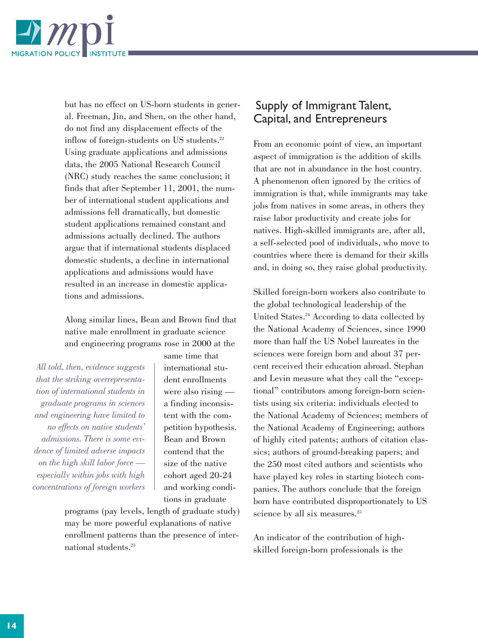

but has no effect on US-born students in general. Freeman, Jin, and Shen, on the other hand, do not find any displacement effects of the inflow of foreign-students on US students.<sup>22</sup> Using graduate applications and admissions data, the 2005 National Research Council (NRC) study reaches the same conclusion; it finds that after September 11, 2001, the number of international student applications and admissions fell dramatically, but domestic student applications remained constant and admissions actually declined. The authors argue that if international students displaced domestic students, a decline in international applications and admissions would have resulted in an increase in domestic applications and admissions.

Along similar lines, Bean and Brown find that native male enrollment in graduate science and engineering programs rose in 2000 at the

*All told, then, evidence suggests that the striking overrepresentation of international students in graduate programs in sciences and engineering have limited to no effects on native students' admissions. There is some evidence of limited adverse impacts on the high skill labor force especially within jobs with high concentrations of foreign workers* same time that international student enrollments were also rising a finding inconsistent with the competition hypothesis. Bean and Brown contend that the size of the native cohort aged 20-24 and working conditions in graduate

programs (pay levels, length of graduate study) may be more powerful explanations of native enrollment patterns than the presence of international students.<sup>23</sup>

# Supply of Immigrant Talent, Capital, and Entrepreneurs

From an economic point of view, an important aspect of immigration is the addition of skills that are not in abundance in the host country. A phenomenon often ignored by the critics of immigration is that, while immigrants may take jobs from natives in some areas, in others they raise labor productivity and create jobs for natives. High-skilled immigrants are, after all, a self-selected pool of individuals, who move to countries where there is demand for their skills and, in doing so, they raise global productivity.

Skilled foreign-born workers also contribute to the global technological leadership of the United States.<sup>24</sup> According to data collected by the National Academy of Sciences, since 1990 more than half the US Nobel laureates in the sciences were foreign born and about 37 percent received their education abroad. Stephan and Levin measure what they call the "exceptional" contributors among foreign-born scientists using six criteria: individuals elected to the National Academy of Sciences; members of the National Academy of Engineering; authors of highly cited patents; authors of citation classics; authors of ground-breaking papers; and the 250 most cited authors and scientists who have played key roles in starting biotech companies. The authors conclude that the foreign born have contributed disproportionately to US science by all six measures.<sup>25</sup>

An indicator of the contribution of highskilled foreign-born professionals is the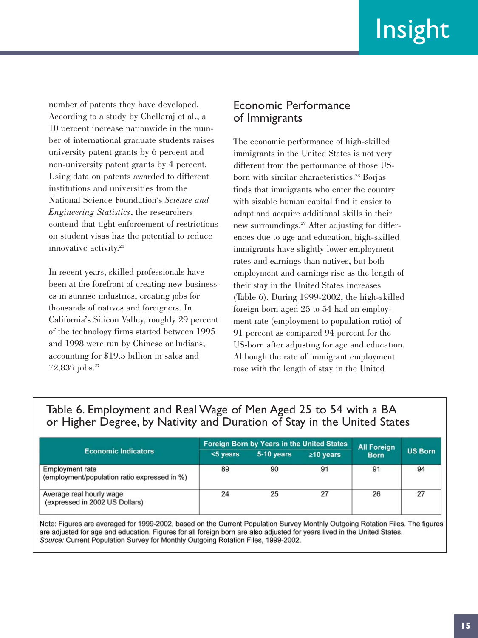number of patents they have developed. According to a study by Chellaraj et al., a 10 percent increase nationwide in the number of international graduate students raises university patent grants by 6 percent and non-university patent grants by 4 percent. Using data on patents awarded to different institutions and universities from the National Science Foundation's *Science and Engineering Statistics*, the researchers contend that tight enforcement of restrictions on student visas has the potential to reduce innovative activity.<sup>26</sup>

In recent years, skilled professionals have been at the forefront of creating new businesses in sunrise industries, creating jobs for thousands of natives and foreigners. In California's Silicon Valley, roughly 29 percent of the technology firms started between 1995 and 1998 were run by Chinese or Indians, accounting for \$19.5 billion in sales and 72,839 jobs.<sup>27</sup>

#### Economic Performance of Immigrants

The economic performance of high-skilled immigrants in the United States is not very different from the performance of those USborn with similar characteristics.<sup>28</sup> Borjas finds that immigrants who enter the country with sizable human capital find it easier to adapt and acquire additional skills in their new surroundings.29 After adjusting for differences due to age and education, high-skilled immigrants have slightly lower employment rates and earnings than natives, but both employment and earnings rise as the length of their stay in the United States increases (Table 6). During 1999-2002, the high-skilled foreign born aged 25 to 54 had an employment rate (employment to population ratio) of 91 percent as compared 94 percent for the US-born after adjusting for age and education. Although the rate of immigrant employment rose with the length of stay in the United

## Table 6. Employment and Real Wage of Men Aged 25 to 54 with a BA or Higher Degree, by Nativity and Duration of Stay in the United States

| <b>Economic Indicators</b>                                             |             | <b>Foreign Born by Years in the United States</b> | <b>All Foreign</b> |             |                |
|------------------------------------------------------------------------|-------------|---------------------------------------------------|--------------------|-------------|----------------|
|                                                                        | $<$ 5 years | 5-10 years                                        | $\geq$ 10 years    | <b>Born</b> | <b>US Born</b> |
| <b>Employment rate</b><br>(employment/population ratio expressed in %) | 89          | 90                                                | 91                 | 91          | 94             |
| Average real hourly wage<br>(expressed in 2002 US Dollars)             | 24          | 25                                                | 27                 | 26          | 27             |

Note: Figures are averaged for 1999-2002, based on the Current Population Survey Monthly Outgoing Rotation Files. The figures are adjusted for age and education. Figures for all foreign born are also adjusted for years lived in the United States. Source: Current Population Survey for Monthly Outgoing Rotation Files, 1999-2002.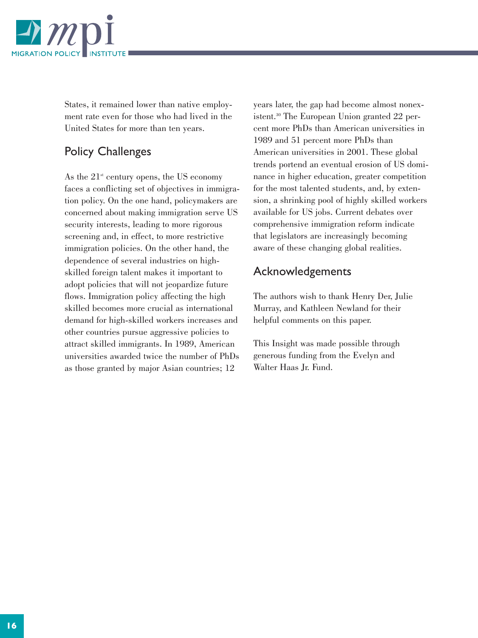

States, it remained lower than native employment rate even for those who had lived in the United States for more than ten years.

# Policy Challenges

As the  $21<sup>st</sup>$  century opens, the US economy faces a conflicting set of objectives in immigration policy. On the one hand, policymakers are concerned about making immigration serve US security interests, leading to more rigorous screening and, in effect, to more restrictive immigration policies. On the other hand, the dependence of several industries on highskilled foreign talent makes it important to adopt policies that will not jeopardize future flows. Immigration policy affecting the high skilled becomes more crucial as international demand for high-skilled workers increases and other countries pursue aggressive policies to attract skilled immigrants. In 1989, American universities awarded twice the number of PhDs as those granted by major Asian countries; 12

years later, the gap had become almost nonexistent.30 The European Union granted 22 percent more PhDs than American universities in 1989 and 51 percent more PhDs than American universities in 2001. These global trends portend an eventual erosion of US dominance in higher education, greater competition for the most talented students, and, by extension, a shrinking pool of highly skilled workers available for US jobs. Current debates over comprehensive immigration reform indicate that legislators are increasingly becoming aware of these changing global realities.

### Acknowledgements

The authors wish to thank Henry Der, Julie Murray, and Kathleen Newland for their helpful comments on this paper.

This Insight was made possible through generous funding from the Evelyn and Walter Haas Jr. Fund.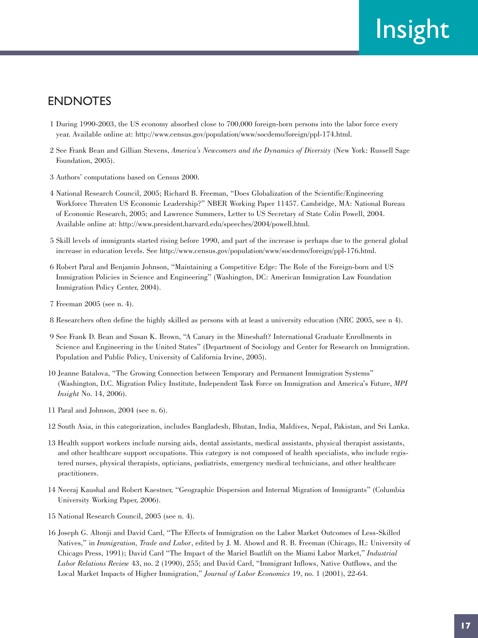# ENDNOTES

- 1 During 1990-2003, the US economy absorbed close to 700,000 foreign-born persons into the labor force every year. Available online at: http://www.census.gov/population/www/socdemo/foreign/ppl-174.html.
- 2 See Frank Bean and Gillian Stevens, *America's Newcomers and the Dynamics of Diversity* (New York: Russell Sage Foundation, 2005).
- 3 Authors' computations based on Census 2000.
- 4 National Research Council, 2005; Richard B. Freeman, "Does Globalization of the Scientific/Engineering Workforce Threaten US Economic Leadership?" NBER Working Paper 11457. Cambridge, MA: National Bureau of Economic Research, 2005; and Lawrence Summers, Letter to US Secretary of State Colin Powell, 2004. Available online at: http://www.president.harvard.edu/speeches/2004/powell.html.
- 5 Skill levels of immigrants started rising before 1990, and part of the increase is perhaps due to the general global increase in education levels. See http://www.census.gov/population/www/socdemo/foreign/ppl-176.html.
- 6 Robert Paral and Benjamin Johnson, "Maintaining a Competitive Edge: The Role of the Foreign-born and US Immigration Policies in Science and Engineering" (Washington, DC: American Immigration Law Foundation Immigration Policy Center, 2004).
- 7 Freeman 2005 (see n. 4).
- 8 Researchers often define the highly skilled as persons with at least a university education (NRC 2005, see n 4).
- 9 See Frank D. Bean and Susan K. Brown, "A Canary in the Mineshaft? International Graduate Enrollments in Science and Engineering in the United States" (Department of Sociology and Center for Research on Immigration. Population and Public Policy, University of California Irvine, 2005).
- 10 Jeanne Batalova, "The Growing Connection between Temporary and Permanent Immigration Systems" (Washington, D.C. Migration Policy Institute, Independent Task Force on Immigration and America's Future, *MPI Insight* No. 14, 2006).
- 11 Paral and Johnson, 2004 (see n. 6).
- 12 South Asia, in this categorization, includes Bangladesh, Bhutan, India, Maldives, Nepal, Pakistan, and Sri Lanka.
- 13 Health support workers include nursing aids, dental assistants, medical assistants, physical therapist assistants, and other healthcare support occupations. This category is not composed of health specialists, who include registered nurses, physical therapists, opticians, podiatrists, emergency medical technicians, and other healthcare practitioners.
- 14 Neeraj Kaushal and Robert Kaestner, "Geographic Dispersion and Internal Migration of Immigrants" (Columbia University Working Paper, 2006).
- 15 National Research Council, 2005 (see n. 4).
- 16 Joseph G. Altonji and David Card, "The Effects of Immigration on the Labor Market Outcomes of Less-Skilled Natives," in *Immigration, Trade and Labor*, edited by J. M. Abowd and R. B. Freeman (Chicago, IL: University of Chicago Press, 1991); David Card "The Impact of the Mariel Boatlift on the Miami Labor Market," *Industrial Labor Relations Review* 43, no. 2 (1990), 255; and David Card, "Immigrant Inflows, Native Outflows, and the Local Market Impacts of Higher Immigration," *Journal of Labor Economics* 19, no. 1 (2001), 22-64.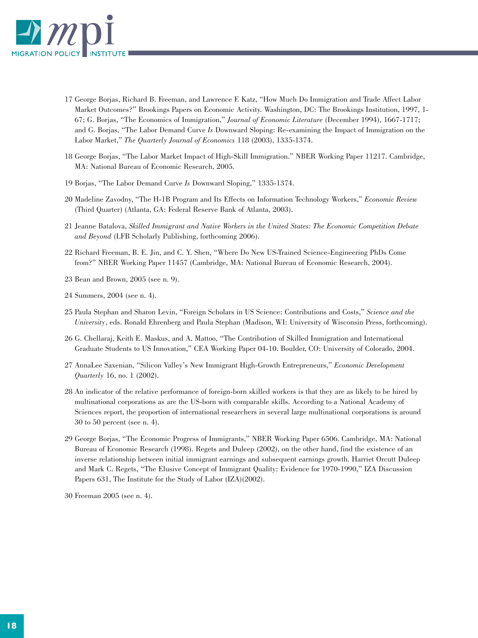

- 17 George Borjas, Richard B. Freeman, and Lawrence F. Katz, "How Much Do Immigration and Trade Affect Labor Market Outcomes?" Brookings Papers on Economic Activity. Washington, DC: The Brookings Institution, 1997, 1- 67; G. Borjas, "The Economics of Immigration," *Journal of Economic Literature* (December 1994), 1667-1717; and G. Borjas, "The Labor Demand Curve *Is* Downward Sloping: Re-examining the Impact of Immigration on the Labor Market," *The Quarterly Journal of Economics* 118 (2003), 1335-1374.
- 18 George Borjas, "The Labor Market Impact of High-Skill Immigration." NBER Working Paper 11217. Cambridge, MA: National Bureau of Economic Research, 2005.
- 19 Borjas, "The Labor Demand Curve *Is* Downward Sloping," 1335-1374.
- 20 Madeline Zavodny, "The H-1B Program and Its Effects on Information Technology Workers," *Economic Review* (Third Quarter) (Atlanta, GA: Federal Reserve Bank of Atlanta, 2003).
- 21 Jeanne Batalova, *Skilled Immigrant and Native Workers in the United States: The Economic Competition Debate and Beyond* (LFB Scholarly Publishing, forthcoming 2006).
- 22 Richard Freeman, B. E. Jin, and C. Y. Shen, "Where Do New US-Trained Science-Engineering PhDs Come from?" NBER Working Paper 11457 (Cambridge, MA: National Bureau of Economic Research, 2004).
- 23 Bean and Brown, 2005 (see n. 9).
- 24 Summers, 2004 (see n. 4).
- 25 Paula Stephan and Sharon Levin, "Foreign Scholars in US Science: Contributions and Costs," *Science and the University*, eds. Ronald Ehrenberg and Paula Stephan (Madison, WI: University of Wisconsin Press, forthcoming).
- 26 G. Chellaraj, Keith E. Maskus, and A. Mattoo, "The Contribution of Skilled Immigration and International Graduate Students to US Innovation," CEA Working Paper 04-10. Boulder, CO: University of Colorado, 2004.
- 27 AnnaLee Saxenian, "Silicon Valley's New Immigrant High-Growth Entrepreneurs," *Economic Development Quarterly* 16, no. 1 (2002).
- 28 An indicator of the relative performance of foreign-born skilled workers is that they are as likely to be hired by multinational corporations as are the US-born with comparable skills. According to a National Academy of Sciences report, the proportion of international researchers in several large multinational corporations is around 30 to 50 percent (see n. 4).
- 29 George Borjas, "The Economic Progress of Immigrants," NBER Working Paper 6506. Cambridge, MA: National Bureau of Economic Research (1998). Regets and Duleep (2002), on the other hand, find the existence of an inverse relationship between initial immigrant earnings and subsequent earnings growth. Harriet Orcutt Duleep and Mark C. Regets, "The Elusive Concept of Immigrant Quality: Evidence for 1970-1990," IZA Discussion Papers 631, The Institute for the Study of Labor (IZA)(2002).

30 Freeman 2005 (see n. 4).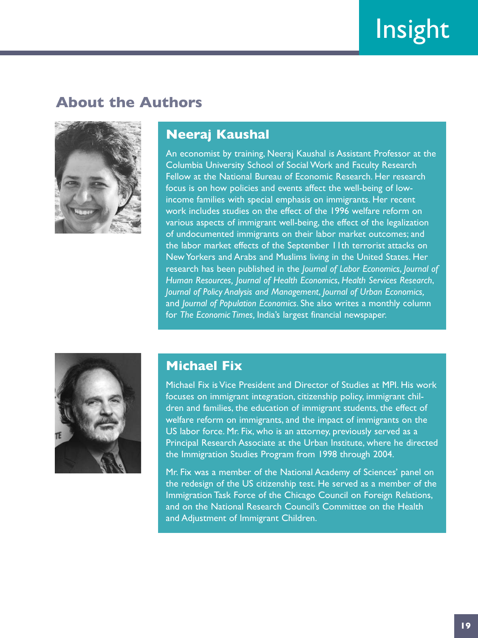# **About the Authors**



# **Neeraj Kaushal**

An economist by training, Neeraj Kaushal is Assistant Professor at the Columbia University School of Social Work and Faculty Research Fellow at the National Bureau of Economic Research. Her research focus is on how policies and events affect the well-being of lowincome families with special emphasis on immigrants. Her recent work includes studies on the effect of the 1996 welfare reform on various aspects of immigrant well-being, the effect of the legalization of undocumented immigrants on their labor market outcomes; and the labor market effects of the September 11th terrorist attacks on New Yorkers and Arabs and Muslims living in the United States. Her research has been published in the *Journal of Labor Economics*, *Journal of Human Resources, Journal of Health Economics*, *Health Services Research*, *Journal of Policy Analysis and Management*, *Journal of Urban Economics,* and *Journal of Population Economics*. She also writes a monthly column for *The Economic Times,* India's largest financial newspaper.



# **Michael Fix**

Michael Fix is Vice President and Director of Studies at MPI. His work focuses on immigrant integration, citizenship policy, immigrant children and families, the education of immigrant students, the effect of welfare reform on immigrants, and the impact of immigrants on the US labor force. Mr. Fix, who is an attorney, previously served as a Principal Research Associate at the Urban Institute, where he directed the Immigration Studies Program from 1998 through 2004.

Mr. Fix was a member of the National Academy of Sciences' panel on the redesign of the US citizenship test. He served as a member of the Immigration Task Force of the Chicago Council on Foreign Relations, and on the National Research Council's Committee on the Health and Adjustment of Immigrant Children.